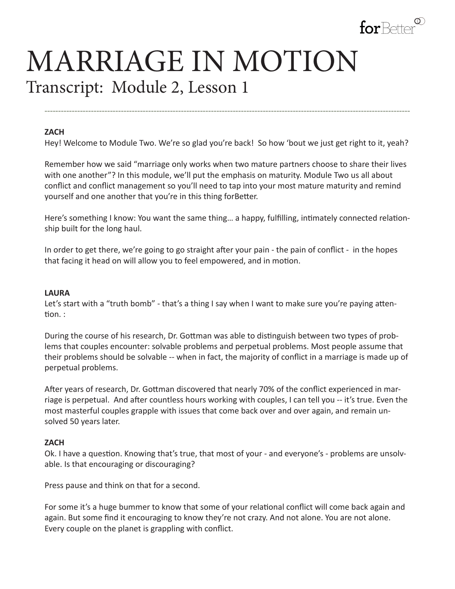

# MARRIAGE IN MOTION Transcript: Module 2, Lesson 1

### **ZACH**

Hey! Welcome to Module Two. We're so glad you're back! So how 'bout we just get right to it, yeah?

**--------------------------------------------------------------------------------------------------------------------------------------**

Remember how we said "marriage only works when two mature partners choose to share their lives with one another"? In this module, we'll put the emphasis on maturity. Module Two us all about conflict and conflict management so you'll need to tap into your most mature maturity and remind yourself and one another that you're in this thing forBetter.

Here's something I know: You want the same thing… a happy, fulfilling, intimately connected relationship built for the long haul.

In order to get there, we're going to go straight after your pain - the pain of conflict - in the hopes that facing it head on will allow you to feel empowered, and in motion.

#### **LAURA**

Let's start with a "truth bomb" - that's a thing I say when I want to make sure you're paying attention. :

During the course of his research, Dr. Gottman was able to distinguish between two types of problems that couples encounter: solvable problems and perpetual problems. Most people assume that their problems should be solvable -- when in fact, the majority of conflict in a marriage is made up of perpetual problems.

After years of research, Dr. Gottman discovered that nearly 70% of the conflict experienced in marriage is perpetual. And after countless hours working with couples, I can tell you -- it's true. Even the most masterful couples grapple with issues that come back over and over again, and remain unsolved 50 years later.

### **ZACH**

Ok. I have a question. Knowing that's true, that most of your - and everyone's - problems are unsolvable. Is that encouraging or discouraging?

Press pause and think on that for a second.

For some it's a huge bummer to know that some of your relational conflict will come back again and again. But some find it encouraging to know they're not crazy. And not alone. You are not alone. Every couple on the planet is grappling with conflict.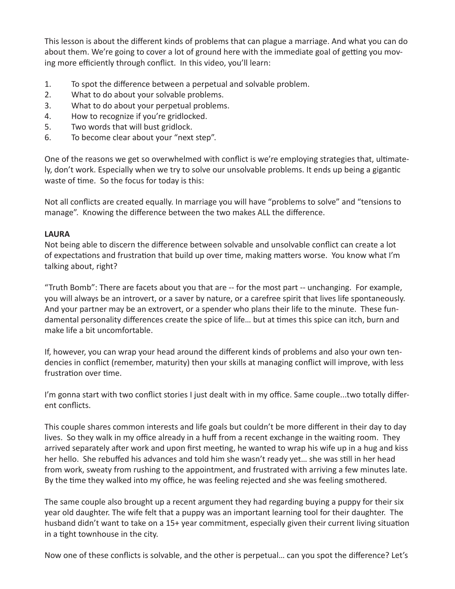This lesson is about the different kinds of problems that can plague a marriage. And what you can do about them. We're going to cover a lot of ground here with the immediate goal of getting you moving more efficiently through conflict. In this video, you'll learn:

- 1. To spot the difference between a perpetual and solvable problem.
- 2. What to do about your solvable problems.
- 3. What to do about your perpetual problems.
- 4. How to recognize if you're gridlocked.
- 5. Two words that will bust gridlock.
- 6. To become clear about your "next step".

One of the reasons we get so overwhelmed with conflict is we're employing strategies that, ultimately, don't work. Especially when we try to solve our unsolvable problems. It ends up being a gigantic waste of time. So the focus for today is this:

Not all conflicts are created equally. In marriage you will have "problems to solve" and "tensions to manage". Knowing the difference between the two makes ALL the difference.

## **LAURA**

Not being able to discern the difference between solvable and unsolvable conflict can create a lot of expectations and frustration that build up over time, making matters worse. You know what I'm talking about, right?

"Truth Bomb": There are facets about you that are -- for the most part -- unchanging. For example, you will always be an introvert, or a saver by nature, or a carefree spirit that lives life spontaneously. And your partner may be an extrovert, or a spender who plans their life to the minute. These fundamental personality differences create the spice of life… but at times this spice can itch, burn and make life a bit uncomfortable.

If, however, you can wrap your head around the different kinds of problems and also your own tendencies in conflict (remember, maturity) then your skills at managing conflict will improve, with less frustration over time.

I'm gonna start with two conflict stories I just dealt with in my office. Same couple...two totally different conflicts.

This couple shares common interests and life goals but couldn't be more different in their day to day lives. So they walk in my office already in a huff from a recent exchange in the waiting room. They arrived separately after work and upon first meeting, he wanted to wrap his wife up in a hug and kiss her hello. She rebuffed his advances and told him she wasn't ready yet… she was still in her head from work, sweaty from rushing to the appointment, and frustrated with arriving a few minutes late. By the time they walked into my office, he was feeling rejected and she was feeling smothered.

The same couple also brought up a recent argument they had regarding buying a puppy for their six year old daughter. The wife felt that a puppy was an important learning tool for their daughter. The husband didn't want to take on a 15+ year commitment, especially given their current living situation in a tight townhouse in the city.

Now one of these conflicts is solvable, and the other is perpetual… can you spot the difference? Let's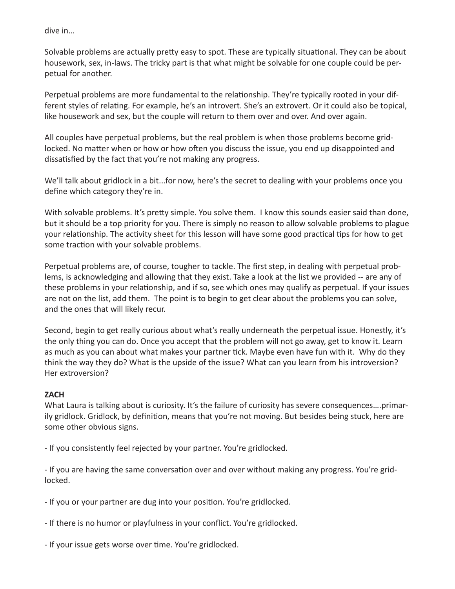dive in…

Solvable problems are actually pretty easy to spot. These are typically situational. They can be about housework, sex, in-laws. The tricky part is that what might be solvable for one couple could be perpetual for another.

Perpetual problems are more fundamental to the relationship. They're typically rooted in your different styles of relating. For example, he's an introvert. She's an extrovert. Or it could also be topical, like housework and sex, but the couple will return to them over and over. And over again.

All couples have perpetual problems, but the real problem is when those problems become gridlocked. No matter when or how or how often you discuss the issue, you end up disappointed and dissatisfied by the fact that you're not making any progress.

We'll talk about gridlock in a bit...for now, here's the secret to dealing with your problems once you define which category they're in.

With solvable problems. It's pretty simple. You solve them. I know this sounds easier said than done, but it should be a top priority for you. There is simply no reason to allow solvable problems to plague your relationship. The activity sheet for this lesson will have some good practical tips for how to get some traction with your solvable problems.

Perpetual problems are, of course, tougher to tackle. The first step, in dealing with perpetual problems, is acknowledging and allowing that they exist. Take a look at the list we provided -- are any of these problems in your relationship, and if so, see which ones may qualify as perpetual. If your issues are not on the list, add them. The point is to begin to get clear about the problems you can solve, and the ones that will likely recur.

Second, begin to get really curious about what's really underneath the perpetual issue. Honestly, it's the only thing you can do. Once you accept that the problem will not go away, get to know it. Learn as much as you can about what makes your partner tick. Maybe even have fun with it. Why do they think the way they do? What is the upside of the issue? What can you learn from his introversion? Her extroversion?

## **ZACH**

What Laura is talking about is curiosity. It's the failure of curiosity has severe consequences....primarily gridlock. Gridlock, by definition, means that you're not moving. But besides being stuck, here are some other obvious signs.

- If you consistently feel rejected by your partner. You're gridlocked.

- If you are having the same conversation over and over without making any progress. You're gridlocked.

- If you or your partner are dug into your position. You're gridlocked.

- If there is no humor or playfulness in your conflict. You're gridlocked.

- If your issue gets worse over time. You're gridlocked.